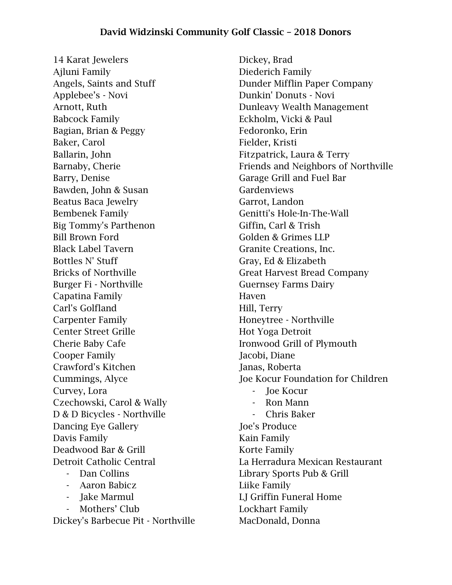14 Karat Jewelers Ajluni Family Angels, Saints and Stuff Applebee's - Novi Arnott, Ruth Babcock Family Bagian, Brian & Peggy Baker, Carol Ballarin, John Barnaby, Cherie Barry, Denise Bawden, John & Susan Beatus Baca Jewelry Bembenek Family Big Tommy's Parthenon Bill Brown Ford Black Label Tavern Bottles N' Stuff Bricks of Northville Burger Fi - Northville Capatina Family Carl's Golfland Carpenter Family Center Street Grille Cherie Baby Cafe Cooper Family Crawford's Kitchen Cummings, Alyce Curvey, Lora Czechowski, Carol & Wally D & D Bicycles - Northville Dancing Eye Gallery Davis Family Deadwood Bar & Grill Detroit Catholic Central - Dan Collins - Aaron Babicz - Jake Marmul - Mothers' Club Dickey's Barbecue Pit - Northville

Dickey, Brad Diederich Family Dunder Mifflin Paper Company Dunkin' Donuts - Novi Dunleavy Wealth Management Eckholm, Vicki & Paul Fedoronko, Erin Fielder, Kristi Fitzpatrick, Laura & Terry Friends and Neighbors of Northville Garage Grill and Fuel Bar **Gardenviews** Garrot, Landon Genitti's Hole-In-The-Wall Giffin, Carl & Trish Golden & Grimes LLP Granite Creations, Inc. Gray, Ed & Elizabeth Great Harvest Bread Company Guernsey Farms Dairy Haven Hill, Terry Honeytree - Northville Hot Yoga Detroit Ironwood Grill of Plymouth Jacobi, Diane Janas, Roberta Joe Kocur Foundation for Children - Joe Kocur - Ron Mann - Chris Baker Joe's Produce Kain Family Korte Family La Herradura Mexican Restaurant Library Sports Pub & Grill Liike Family LJ Griffin Funeral Home Lockhart Family MacDonald, Donna